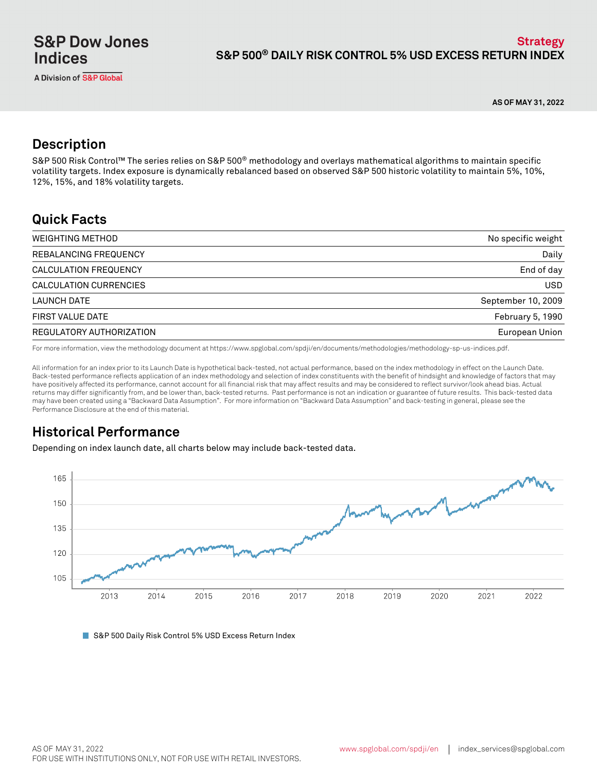**AS OF MAY 31, 2022**

# **Description**

S&P 500 Risk Control™ The series relies on S&P 500® methodology and overlays mathematical algorithms to maintain specific volatility targets. Index exposure is dynamically rebalanced based on observed S&P 500 historic volatility to maintain 5%, 10%, 12%, 15%, and 18% volatility targets.

# **Quick Facts**

| WEIGHTING METHOD         | No specific weight |
|--------------------------|--------------------|
| REBALANCING FREQUENCY    | Daily              |
| CALCULATION FREQUENCY    | End of day         |
| CALCULATION CURRENCIES   | <b>USD</b>         |
| LAUNCH DATE              | September 10, 2009 |
| FIRST VALUE DATE         | February 5, 1990   |
| REGULATORY AUTHORIZATION | European Union     |

For more information, view the methodology document at https://www.spglobal.com/spdji/en/documents/methodologies/methodology-sp-us-indices.pdf.

All information for an index prior to its Launch Date is hypothetical back-tested, not actual performance, based on the index methodology in effect on the Launch Date. Back-tested performance reflects application of an index methodology and selection of index constituents with the benefit of hindsight and knowledge of factors that may have positively affected its performance, cannot account for all financial risk that may affect results and may be considered to reflect survivor/look ahead bias. Actual returns may differ significantly from, and be lower than, back-tested returns. Past performance is not an indication or guarantee of future results. This back-tested data may have been created using a "Backward Data Assumption". For more information on "Backward Data Assumption" and back-testing in general, please see the Performance Disclosure at the end of this material.

# **Historical Performance**

Depending on index launch date, all charts below may include back-tested data.



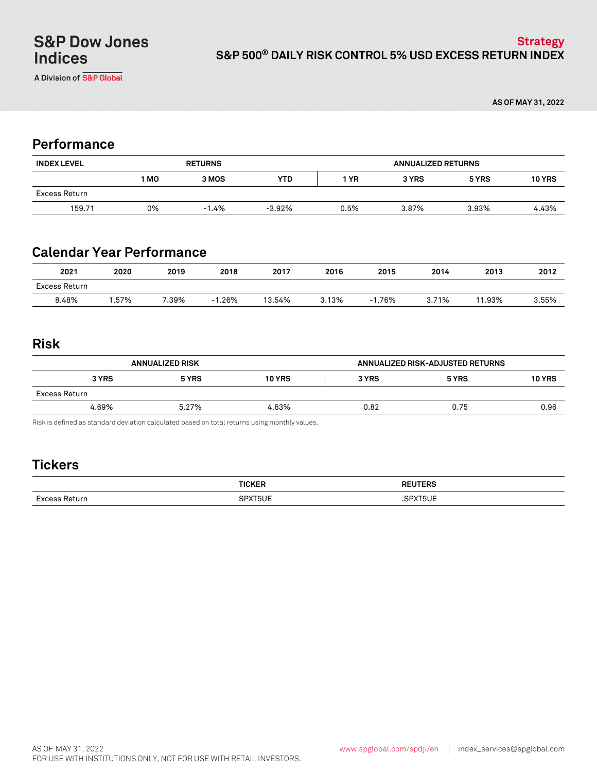A Division of S&P Global

**AS OF MAY 31, 2022**

### **Performance**

| <b>INDEX LEVEL</b> | <b>RETURNS</b> |         |          | <b>ANNUALIZED RETURNS</b> |       |       |               |
|--------------------|----------------|---------|----------|---------------------------|-------|-------|---------------|
|                    | 1 MO           | 3 MOS   | YTD      | 1 YR                      | 3 YRS | 5 YRS | <b>10 YRS</b> |
| Excess Return      |                |         |          |                           |       |       |               |
| 159.71             | 0%             | $-1.4%$ | $-3.92%$ | 0.5%                      | 3.87% | 3.93% | 4.43%         |

# **Calendar Year Performance**

| 2021          | 2020  | 2019 | 2018      | 2017   | 2016  | 2015 | 2014  | 2013   | 2012  |
|---------------|-------|------|-----------|--------|-------|------|-------|--------|-------|
| Excess Return |       |      |           |        |       |      |       |        |       |
| 8.48%         | 1.57% | .39% | .26%<br>÷ | 13.54% | 3.13% | .76% | 3.71% | 11.93% | 3.55% |

### **Risk**

| <b>ANNUALIZED RISK</b> |       |               | ANNUALIZED RISK-ADJUSTED RETURNS |       |               |
|------------------------|-------|---------------|----------------------------------|-------|---------------|
| 3 YRS                  | 5 YRS | <b>10 YRS</b> | 3 YRS                            | 5 YRS | <b>10 YRS</b> |
| Excess Return          |       |               |                                  |       |               |
| 4.69%                  | 5.27% | 4.63%         | 0.82                             | 0.75  | 0.96          |

Risk is defined as standard deviation calculated based on total returns using monthly values.

# **Tickers**

| - |  |
|---|--|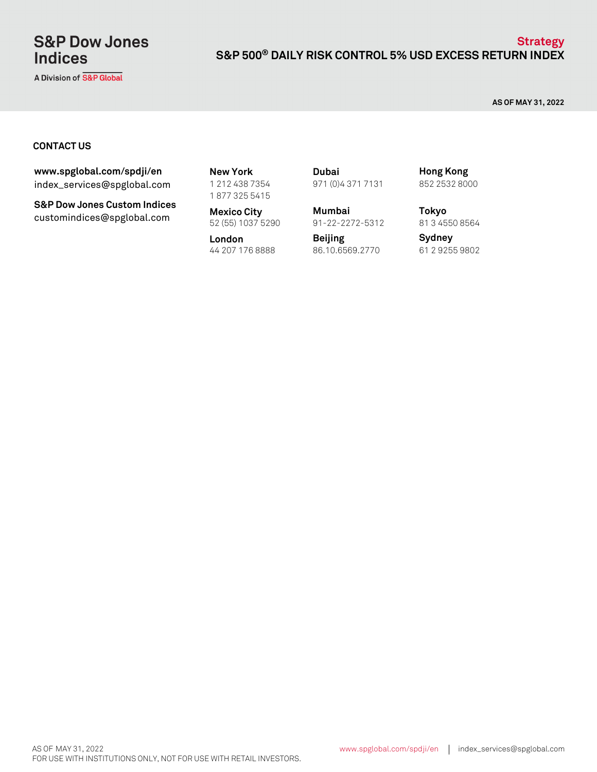# **S&P Dow Jones Indices**

A Division of S&P Global

### **S&P 500® DAILY RISK CONTROL 5% USD EXCESS RETURN INDEX Strategy**

**AS OF MAY 31, 2022**

#### **CONTACT US**

index\_services@spglobal.com **www.spglobal.com/spdji/en New York**

**S&P Dow Jones Custom Indices** customindices@spglobal.com **Mexico City**<br>52 (55) 1037 5290

1 212 438 7354 1 877 325 5415

**Mexico City Mumbai**

**London** 44 207 176 8888 61 2 9255 9802 86.10.6569.2770

971 (0)4 371 7131 **Dubai**

91-22-2272-5312

**Beijing**

852 2532 8000 **Hong Kong**

**Tokyo** 81 3 4550 8564

**Sydney**